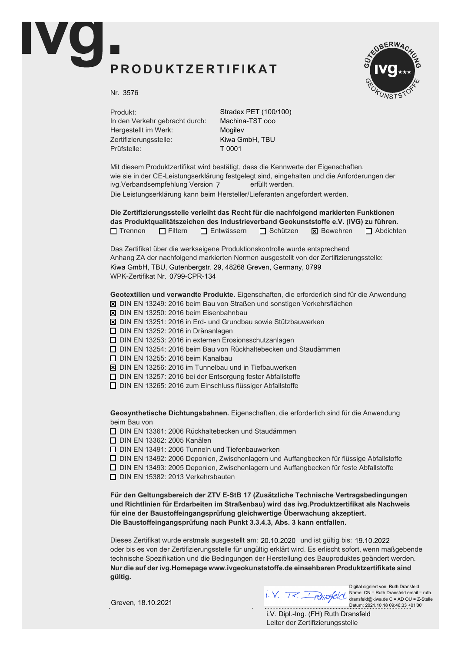## PRODUKTZERTIFIKAT



Nr. 3576

Produkt: In den Verkehr gebracht durch: Hergestellt im Werk: Zertifizierungsstelle: Prüfstelle:

Stradex PET (100/100) Machina-TST ooo Mogilev Kiwa GmbH, TBU T 0001

Mit diesem Produktzertifikat wird bestätigt, dass die Kennwerte der Eigenschaften, wie sie in der CE-Leistungserklärung festgelegt sind, eingehalten und die Anforderungen der ivg.Verbandsempfehlung Version 7 erfüllt werden. Die Leistungserklärung kann beim Hersteller/Lieferanten angefordert werden.

Die Zertifizierungsstelle verleiht das Recht für die nachfolgend markierten Funktionen das Produktqualitätszeichen des Industrieverband Geokunststoffe e.V. (IVG) zu führen.  $\Box$  Trennen  $\Box$  Filtern  $\Box$  Entwässern  $\Box$  Schützen  $\boxtimes$  Bewehren  $\Box$  Abdichten

Das Zertifikat über die werkseigene Produktionskontrolle wurde entsprechend Anhang ZA der nachfolgend markierten Normen ausgestellt von der Zertifizierungsstelle: WPK-Zertifikat Nr. 0799-CPR-134 Kiwa GmbH, TBU, Gutenbergstr. 29, 48268 Greven, Germany, 0799

Geotextilien und verwandte Produkte. Eigenschaften, die erforderlich sind für die Anwendung

- $\overline{X}$  DIN EN 13249: 2016 beim Bau von Straßen und sonstigen Verkehrsflächen
- $\boxtimes$  DIN EN 13250: 2016 beim Eisenbahnbau
- $\boxtimes$  DIN EN 13251: 2016 in Erd- und Grundbau sowie Stützbauwerken
- $\Box$  DIN EN 13252: 2016 in Dränanlagen
- $\Box$  DIN EN 13253: 2016 in externen Erosionsschutzanlagen
- $\Box$  DIN EN 13254: 2016 beim Bau von Rückhaltebecken und Staudämmen
- $\Box$  DIN EN 13255: 2016 beim Kanalbau
- $\boxtimes$  DIN EN 13256: 2016 im Tunnelbau und in Tiefbauwerken
- $\Box$  DIN EN 13257: 2016 bei der Entsorgung fester Abfallstoffe
- $\Box$  DIN EN 13265: 2016 zum Einschluss flüssiger Abfallstoffe

Geosynthetische Dichtungsbahnen. Eigenschaften, die erforderlich sind für die Anwendung beim Bau von

 $\Box$  DIN EN 13361: 2006 Rückhaltebecken und Staudämmen

**D** DIN EN 13362: 2005 Kanälen

 $\Box$  DIN EN 13491: 2006 Tunneln und Tiefenbauwerken

 $\Box$  DIN EN 13492: 2006 Deponien, Zwischenlagern und Auffangbecken für flüssige Abfallstoffe

 $\Box$  DIN EN 13493: 2005 Deponien, Zwischenlagern und Auffangbecken für feste Abfallstoffe

 $\Box$  DIN EN 15382: 2013 Verkehrsbauten

Für den Geltungsbereich der ZTV E-StB 17 (Zusätzliche Technische Vertragsbedingungen und Richtlinien für Erdarbeiten im Straßenbau) wird das ivg.Produktzertifikat als Nachweis für eine der Baustoffeingangsprüfung gleichwertige Überwachung akzeptiert. Die Baustoffeingangsprüfung nach Punkt 3.3.4.3, Abs. 3 kann entfallen.

Dieses Zertifikat wurde erstmals ausgestellt am: 20.10.2020 und ist gültig bis: 19.10.2022 oder bis es von der Zertifizierungsstelle für ungültig erklärt wird. Es erlischt sofort, wenn maßgebende technische Spezifikation und die Bedingungen der Herstellung des Bauproduktes geändert werden. Nur die auf der ivg. Homepage www.ivgeokunststoffe. de einsehbaren Produktzertifikate sind aültia.

Digital signiert von: Ruth Dransfeld Name: CN = Ruth Dransfeld email = ruth. dransfeld@kiwa.de C = AD OU = Z-Stelle Datum: 2021.10.18 09:46:33 +01'00'

Greven, 18.10.2021

Leiter der Zertifizierungsstelle i.V. Dipl.-Ing. (FH) Ruth Dransfeld